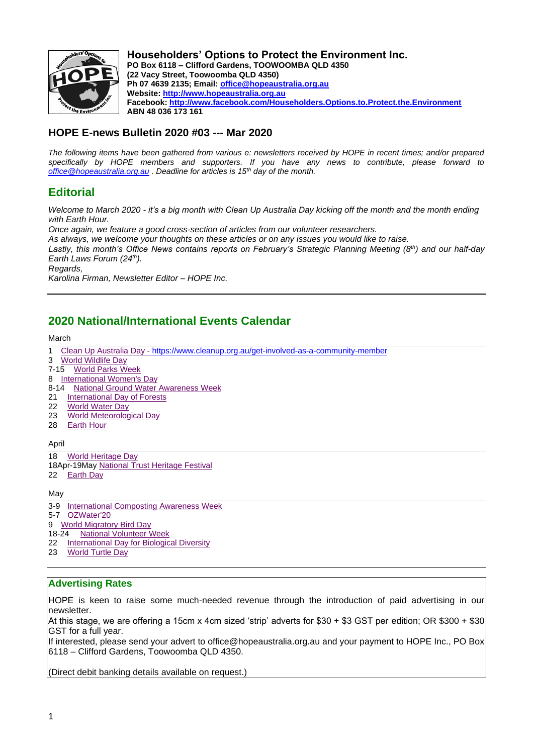

**Householders' Options to Protect the Environment Inc. PO Box 6118 – Clifford Gardens, TOOWOOMBA QLD 4350 (22 Vacy Street, Toowoomba QLD 4350) Ph 07 4639 2135; Email: office@hopeaustralia.org.au Website: http://www.hopeaustralia.org.au Facebook: http://www.facebook.com/Householders.Options.to.Protect.the.Environment ABN 48 036 173 161**

## **HOPE E-news Bulletin 2020 #03 --- Mar 2020**

*The following items have been gathered from various e: newsletters received by HOPE in recent times; and/or prepared specifically by HOPE members and supporters. If you have any news to contribute, please forward to office@hopeaustralia.org.au . Deadline for articles is 15th day of the month.*

# **Editorial**

*Welcome to March 2020 - it's a big month with Clean Up Australia Day kicking off the month and the month ending with Earth Hour.* 

*Once again, we feature a good cross-section of articles from our volunteer researchers.* 

*As always, we welcome your thoughts on these articles or on any issues you would like to raise.*

*Lastly, this month's Office News contains reports on February's Strategic Planning Meeting (8th) and our half-day Earth Laws Forum (24th).*

*Regards,*

*Karolina Firman, Newsletter Editor – HOPE Inc.*

# **2020 National/International Events Calendar**

March

- 1 Clean Up Australia Day https://www.cleanup.org.au/get-involved-as-a-community-member
- 3 World Wildlife Day
- 7-15 World Parks Week
- 8 International Women's Day
- 8-14 National Ground Water Awareness Week
- 21 International Day of Forests
- 
- 22 World Water Day<br>23 World Meteoroloo 23 World Meteorological Day<br>28 Earth Hour
- **Earth Hour**

April

- 18 World Heritage Day
- 18Apr-19May National Trust Heritage Festival
- 22 Earth Day

May

- 3-9 International Composting Awareness Week
- 5-7 OZWater'20
- 9 World Migratory Bird Day
- 18-24 National Volunteer Week
- 22 International Day for Biological Diversity
- 23 World Turtle Day

## **Advertising Rates**

HOPE is keen to raise some much-needed revenue through the introduction of paid advertising in our newsletter.

At this stage, we are offering a 15cm x 4cm sized 'strip' adverts for \$30 + \$3 GST per edition; OR \$300 + \$30 GST for a full year.

If interested, please send your advert to office@hopeaustralia.org.au and your payment to HOPE Inc., PO Box 6118 – Clifford Gardens, Toowoomba QLD 4350.

(Direct debit banking details available on request.)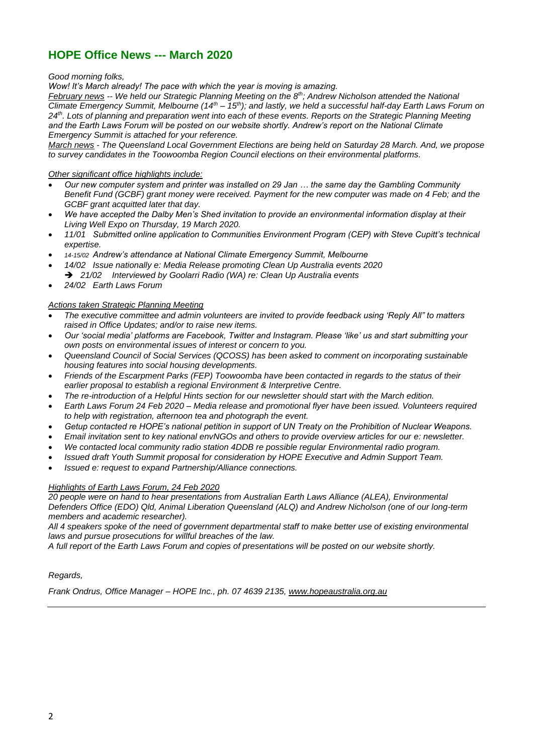# **HOPE Office News --- March 2020**

*Good morning folks,*

*Wow! It's March already! The pace with which the year is moving is amazing.*

*February news -- We held our Strategic Planning Meeting on the 8th; Andrew Nicholson attended the National Climate Emergency Summit, Melbourne (14th – 15th); and lastly, we held a successful half-day Earth Laws Forum on 24th. Lots of planning and preparation went into each of these events. Reports on the Strategic Planning Meeting and the Earth Laws Forum will be posted on our website shortly. Andrew's report on the National Climate Emergency Summit is attached for your reference.* 

*March news - The Queensland Local Government Elections are being held on Saturday 28 March. And, we propose to survey candidates in the Toowoomba Region Council elections on their environmental platforms.*

### *Other significant office highlights include:*

- *Our new computer system and printer was installed on 29 Jan … the same day the Gambling Community Benefit Fund (GCBF) grant money were received. Payment for the new computer was made on 4 Feb; and the GCBF grant acquitted later that day.*
- *We have accepted the Dalby Men's Shed invitation to provide an environmental information display at their Living Well Expo on Thursday, 19 March 2020.*
- *11/01 Submitted online application to Communities Environment Program (CEP) with Steve Cupitt's technical expertise.*
- *14-15/02 Andrew's attendance at National Climate Emergency Summit, Melbourne*
- *14/02 Issue nationally e: Media Release promoting Clean Up Australia events 2020* ➔ *21/02 Interviewed by Goolarri Radio (WA) re: Clean Up Australia events*
- *24/02 Earth Laws Forum*

### *Actions taken Strategic Planning Meeting*

- *The executive committee and admin volunteers are invited to provide feedback using 'Reply All" to matters raised in Office Updates; and/or to raise new items.*
- *Our 'social media' platforms are Facebook, Twitter and Instagram. Please 'like' us and start submitting your own posts on environmental issues of interest or concern to you.*
- *Queensland Council of Social Services (QCOSS) has been asked to comment on incorporating sustainable housing features into social housing developments.*
- *Friends of the Escarpment Parks (FEP) Toowoomba have been contacted in regards to the status of their earlier proposal to establish a regional Environment & Interpretive Centre.*
- *The re-introduction of a Helpful Hints section for our newsletter should start with the March edition.*
- *Earth Laws Forum 24 Feb 2020 – Media release and promotional flyer have been issued. Volunteers required to help with registration, afternoon tea and photograph the event.*
- *Getup contacted re HOPE's national petition in support of UN Treaty on the Prohibition of Nuclear Weapons.*
- *Email invitation sent to key national envNGOs and others to provide overview articles for our e: newsletter.*
- *We contacted local community radio station 4DDB re possible regular Environmental radio program.*
- *Issued draft Youth Summit proposal for consideration by HOPE Executive and Admin Support Team.*
- *Issued e: request to expand Partnership/Alliance connections.*

#### *Highlights of Earth Laws Forum, 24 Feb 2020*

*20 people were on hand to hear presentations from Australian Earth Laws Alliance (ALEA), Environmental Defenders Office (EDO) Qld, Animal Liberation Queensland (ALQ) and Andrew Nicholson (one of our long-term members and academic researcher).*

*All 4 speakers spoke of the need of government departmental staff to make better use of existing environmental laws and pursue prosecutions for willful breaches of the law.*

*A full report of the Earth Laws Forum and copies of presentations will be posted on our website shortly.*

#### *Regards,*

*Frank Ondrus, Office Manager – HOPE Inc., ph. 07 4639 2135, www.hopeaustralia.org.au*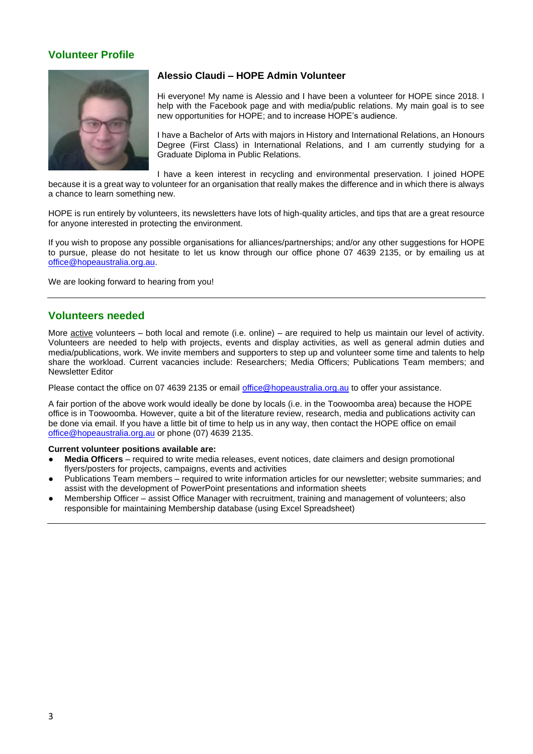## **Volunteer Profile**



## **Alessio Claudi – HOPE Admin Volunteer**

Hi everyone! My name is Alessio and I have been a volunteer for HOPE since 2018. I help with the Facebook page and with media/public relations. My main goal is to see new opportunities for HOPE; and to increase HOPE's audience.

I have a Bachelor of Arts with majors in History and International Relations, an Honours Degree (First Class) in International Relations, and I am currently studying for a Graduate Diploma in Public Relations.

I have a keen interest in recycling and environmental preservation. I joined HOPE because it is a great way to volunteer for an organisation that really makes the difference and in which there is always a chance to learn something new.

HOPE is run entirely by volunteers, its newsletters have lots of high-quality articles, and tips that are a great resource for anyone interested in protecting the environment.

If you wish to propose any possible organisations for alliances/partnerships; and/or any other suggestions for HOPE to pursue, please do not hesitate to let us know through our office phone 07 4639 2135, or by emailing us at office@hopeaustralia.org.au.

We are looking forward to hearing from you!

## **Volunteers needed**

More active volunteers – both local and remote (i.e. online) – are required to help us maintain our level of activity. Volunteers are needed to help with projects, events and display activities, as well as general admin duties and media/publications, work. We invite members and supporters to step up and volunteer some time and talents to help share the workload. Current vacancies include: Researchers; Media Officers; Publications Team members; and Newsletter Editor

Please contact the office on 07 4639 2135 or email office@hopeaustralia.org.au to offer your assistance.

A fair portion of the above work would ideally be done by locals (i.e. in the Toowoomba area) because the HOPE office is in Toowoomba. However, quite a bit of the literature review, research, media and publications activity can be done via email. If you have a little bit of time to help us in any way, then contact the HOPE office on email office@hopeaustralia.org.au or phone (07) 4639 2135.

#### **Current volunteer positions available are:**

- **Media Officers** required to write media releases, event notices, date claimers and design promotional flyers/posters for projects, campaigns, events and activities
- Publications Team members required to write information articles for our newsletter; website summaries; and assist with the development of PowerPoint presentations and information sheets
- Membership Officer assist Office Manager with recruitment, training and management of volunteers; also responsible for maintaining Membership database (using Excel Spreadsheet)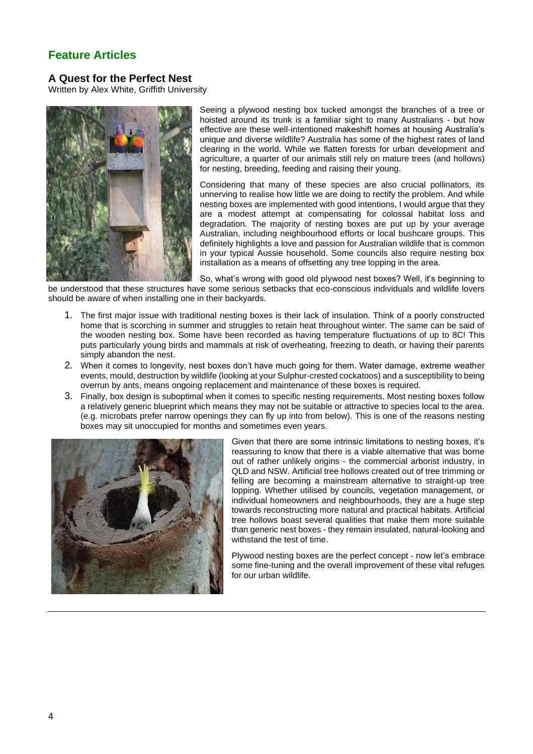# **Feature Articles**

## **A Quest for the Perfect Nest**

Written by Alex White, Griffith University



Seeing a plywood nesting box tucked amongst the branches of a tree or hoisted around its trunk is a familiar sight to many Australians - but how effective are these well-intentioned makeshift homes at housing Australia's unique and diverse wildlife? Australia has some of the highest rates of land clearing in the world. While we flatten forests for urban development and agriculture, a quarter of our animals still rely on mature trees (and hollows) for nesting, breeding, feeding and raising their young.

Considering that many of these species are also crucial pollinators, its unnerving to realise how little we are doing to rectify the problem. And while nesting boxes are implemented with good intentions, I would argue that they are a modest attempt at compensating for colossal habitat loss and degradation. The majority of nesting boxes are put up by your average Australian, including neighbourhood efforts or local bushcare groups. This definitely highlights a love and passion for Australian wildlife that is common in your typical Aussie household. Some councils also require nesting box installation as a means of offsetting any tree lopping in the area.

So, what's wrong with good old plywood nest boxes? Well, it's beginning to be understood that these structures have some serious setbacks that eco-conscious individuals and wildlife lovers should be aware of when installing one in their backyards.

- 1. The first major issue with traditional nesting boxes is their lack of insulation. Think of a poorly constructed home that is scorching in summer and struggles to retain heat throughout winter. The same can be said of the wooden nesting box. Some have been recorded as having temperature fluctuations of up to 8C! This puts particularly young birds and mammals at risk of overheating, freezing to death, or having their parents simply abandon the nest.
- 2. When it comes to longevity, nest boxes don't have much going for them. Water damage, extreme weather events, mould, destruction by wildlife (looking at your Sulphur-crested cockatoos) and a susceptibility to being overrun by ants, means ongoing replacement and maintenance of these boxes is required.
- 3. Finally, box design is suboptimal when it comes to specific nesting requirements. Most nesting boxes follow a relatively generic blueprint which means they may not be suitable or attractive to species local to the area. (e.g. microbats prefer narrow openings they can fly up into from below). This is one of the reasons nesting boxes may sit unoccupied for months and sometimes even years.



Given that there are some intrinsic limitations to nesting boxes, it's reassuring to know that there is a viable alternative that was borne out of rather unlikely origins - the commercial arborist industry, in QLD and NSW. Artificial tree hollows created out of tree trimming or felling are becoming a mainstream alternative to straight-up tree lopping. Whether utilised by councils, vegetation management, or individual homeowners and neighbourhoods, they are a huge step towards reconstructing more natural and practical habitats. Artificial tree hollows boast several qualities that make them more suitable than generic nest boxes - they remain insulated, natural-looking and withstand the test of time.

Plywood nesting boxes are the perfect concept - now let's embrace some fine-tuning and the overall improvement of these vital refuges for our urban wildlife.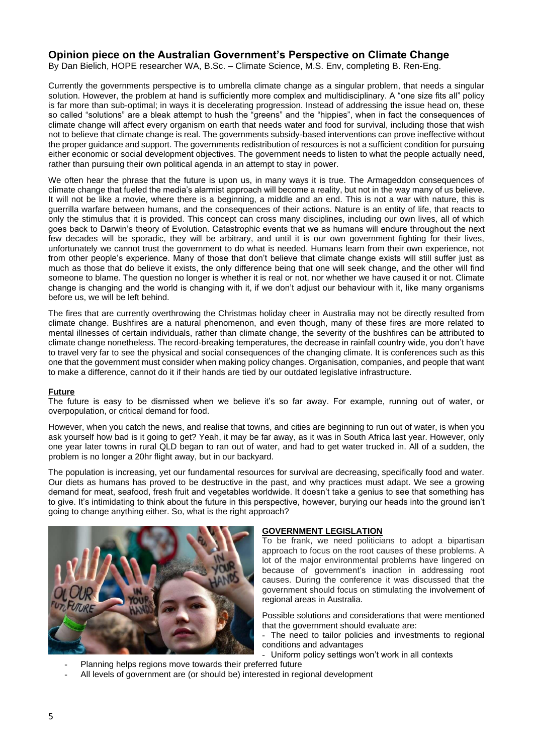## **Opinion piece on the Australian Government's Perspective on Climate Change**

By Dan Bielich, HOPE researcher WA, B.Sc. – Climate Science, M.S. Env, completing B. Ren-Eng.

Currently the governments perspective is to umbrella climate change as a singular problem, that needs a singular solution. However, the problem at hand is sufficiently more complex and multidisciplinary. A "one size fits all" policy is far more than sub-optimal; in ways it is decelerating progression. Instead of addressing the issue head on, these so called "solutions" are a bleak attempt to hush the "greens" and the "hippies", when in fact the consequences of climate change will affect every organism on earth that needs water and food for survival, including those that wish not to believe that climate change is real. The governments subsidy-based interventions can prove ineffective without the proper guidance and support. The governments redistribution of resources is not a sufficient condition for pursuing either economic or social development objectives. The government needs to listen to what the people actually need, rather than pursuing their own political agenda in an attempt to stay in power.

We often hear the phrase that the future is upon us, in many ways it is true. The Armageddon consequences of climate change that fueled the media's alarmist approach will become a reality, but not in the way many of us believe. It will not be like a movie, where there is a beginning, a middle and an end. This is not a war with nature, this is guerrilla warfare between humans, and the consequences of their actions. Nature is an entity of life, that reacts to only the stimulus that it is provided. This concept can cross many disciplines, including our own lives, all of which goes back to Darwin's theory of Evolution. Catastrophic events that we as humans will endure throughout the next few decades will be sporadic, they will be arbitrary, and until it is our own government fighting for their lives, unfortunately we cannot trust the government to do what is needed. Humans learn from their own experience, not from other people's experience. Many of those that don't believe that climate change exists will still suffer just as much as those that do believe it exists, the only difference being that one will seek change, and the other will find someone to blame. The question no longer is whether it is real or not, nor whether we have caused it or not. Climate change is changing and the world is changing with it, if we don't adjust our behaviour with it, like many organisms before us, we will be left behind.

The fires that are currently overthrowing the Christmas holiday cheer in Australia may not be directly resulted from climate change. Bushfires are a natural phenomenon, and even though, many of these fires are more related to mental illnesses of certain individuals, rather than climate change, the severity of the bushfires can be attributed to climate change nonetheless. The record-breaking temperatures, the decrease in rainfall country wide, you don't have to travel very far to see the physical and social consequences of the changing climate. It is conferences such as this one that the government must consider when making policy changes. Organisation, companies, and people that want to make a difference, cannot do it if their hands are tied by our outdated legislative infrastructure.

#### **Future**

The future is easy to be dismissed when we believe it's so far away. For example, running out of water, or overpopulation, or critical demand for food.

However, when you catch the news, and realise that towns, and cities are beginning to run out of water, is when you ask yourself how bad is it going to get? Yeah, it may be far away, as it was in South Africa last year. However, only one year later towns in rural QLD began to ran out of water, and had to get water trucked in. All of a sudden, the problem is no longer a 20hr flight away, but in our backyard.

The population is increasing, yet our fundamental resources for survival are decreasing, specifically food and water. Our diets as humans has proved to be destructive in the past, and why practices must adapt. We see a growing demand for meat, seafood, fresh fruit and vegetables worldwide. It doesn't take a genius to see that something has to give. It's intimidating to think about the future in this perspective, however, burying our heads into the ground isn't going to change anything either. So, what is the right approach?



#### **GOVERNMENT LEGISLATION**

To be frank, we need politicians to adopt a bipartisan approach to focus on the root causes of these problems. A lot of the major environmental problems have lingered on because of government's inaction in addressing root causes. During the conference it was discussed that the government should focus on stimulating the involvement of regional areas in Australia.

Possible solutions and considerations that were mentioned that the government should evaluate are:

- The need to tailor policies and investments to regional conditions and advantages

- Uniform policy settings won't work in all contexts
- Planning helps regions move towards their preferred future
- All levels of government are (or should be) interested in regional development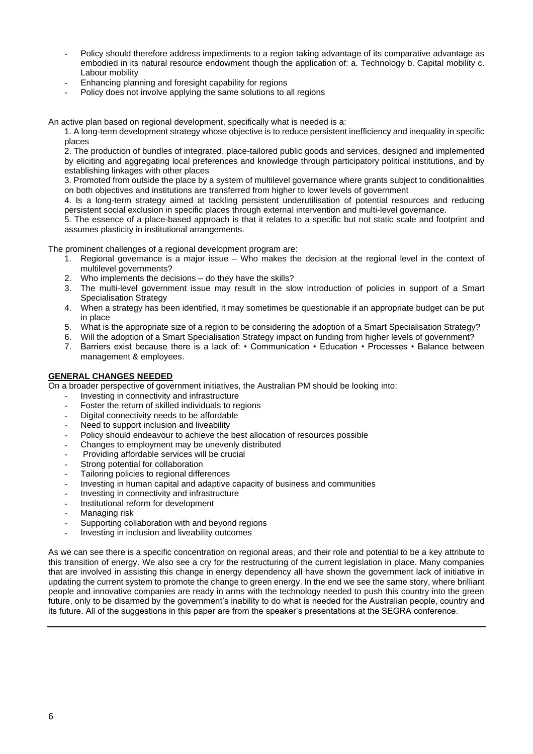- Policy should therefore address impediments to a region taking advantage of its comparative advantage as embodied in its natural resource endowment though the application of: a. Technology b. Capital mobility c. Labour mobility
- Enhancing planning and foresight capability for regions
- Policy does not involve applying the same solutions to all regions

An active plan based on regional development, specifically what is needed is a:

1. A long-term development strategy whose objective is to reduce persistent inefficiency and inequality in specific places

2. The production of bundles of integrated, place-tailored public goods and services, designed and implemented by eliciting and aggregating local preferences and knowledge through participatory political institutions, and by establishing linkages with other places

3. Promoted from outside the place by a system of multilevel governance where grants subject to conditionalities on both objectives and institutions are transferred from higher to lower levels of government

4. Is a long-term strategy aimed at tackling persistent underutilisation of potential resources and reducing persistent social exclusion in specific places through external intervention and multi-level governance.

5. The essence of a place-based approach is that it relates to a specific but not static scale and footprint and assumes plasticity in institutional arrangements.

The prominent challenges of a regional development program are:

- 1. Regional governance is a major issue Who makes the decision at the regional level in the context of multilevel governments?
- 2. Who implements the decisions do they have the skills?
- 3. The multi-level government issue may result in the slow introduction of policies in support of a Smart Specialisation Strategy
- 4. When a strategy has been identified, it may sometimes be questionable if an appropriate budget can be put in place
- 5. What is the appropriate size of a region to be considering the adoption of a Smart Specialisation Strategy?
- 6. Will the adoption of a Smart Specialisation Strategy impact on funding from higher levels of government?
- 7. Barriers exist because there is a lack of: Communication Education Processes Balance between management & employees.

#### **GENERAL CHANGES NEEDED**

On a broader perspective of government initiatives, the Australian PM should be looking into:

- Investing in connectivity and infrastructure
- Foster the return of skilled individuals to regions
- Digital connectivity needs to be affordable
- Need to support inclusion and liveability
- Policy should endeavour to achieve the best allocation of resources possible
- Changes to employment may be unevenly distributed
- Providing affordable services will be crucial
- Strong potential for collaboration
- Tailoring policies to regional differences
- Investing in human capital and adaptive capacity of business and communities
- Investing in connectivity and infrastructure
- Institutional reform for development
- Managing risk
- Supporting collaboration with and beyond regions
- Investing in inclusion and liveability outcomes

As we can see there is a specific concentration on regional areas, and their role and potential to be a key attribute to this transition of energy. We also see a cry for the restructuring of the current legislation in place. Many companies that are involved in assisting this change in energy dependency all have shown the government lack of initiative in updating the current system to promote the change to green energy. In the end we see the same story, where brilliant people and innovative companies are ready in arms with the technology needed to push this country into the green future, only to be disarmed by the government's inability to do what is needed for the Australian people, country and its future. All of the suggestions in this paper are from the speaker's presentations at the SEGRA conference.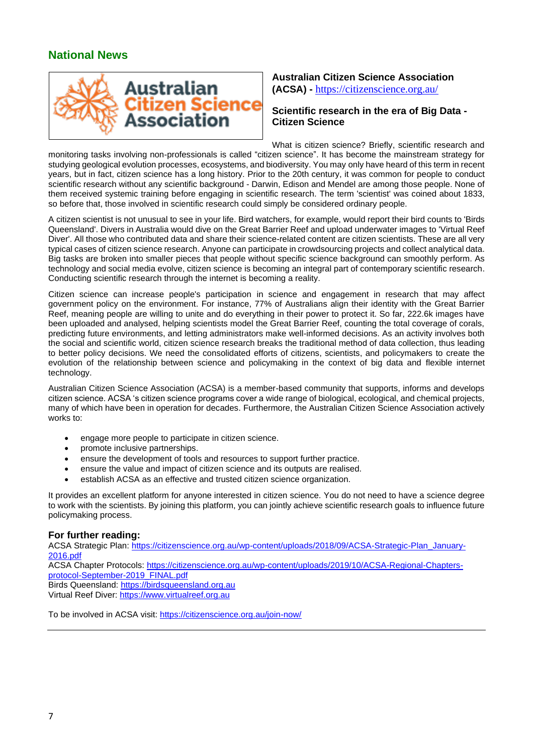# **National News**



## **Australian Citizen Science Association (ACSA) -** https://citizenscience.org.au/

## **Scientific research in the era of Big Data - Citizen Science**

What is citizen science? Briefly, scientific research and monitoring tasks involving non-professionals is called "citizen science". It has become the mainstream strategy for studying geological evolution processes, ecosystems, and biodiversity. You may only have heard of this term in recent years, but in fact, citizen science has a long history. Prior to the 20th century, it was common for people to conduct scientific research without any scientific background - Darwin, Edison and Mendel are among those people. None of them received systemic training before engaging in scientific research. The term 'scientist' was coined about 1833, so before that, those involved in scientific research could simply be considered ordinary people.

A citizen scientist is not unusual to see in your life. Bird watchers, for example, would report their bird counts to 'Birds Queensland'. Divers in Australia would dive on the Great Barrier Reef and upload underwater images to 'Virtual Reef Diver'. All those who contributed data and share their science-related content are citizen scientists. These are all very typical cases of citizen science research. Anyone can participate in crowdsourcing projects and collect analytical data. Big tasks are broken into smaller pieces that people without specific science background can smoothly perform. As technology and social media evolve, citizen science is becoming an integral part of contemporary scientific research. Conducting scientific research through the internet is becoming a reality.

Citizen science can increase people's participation in science and engagement in research that may affect government policy on the environment. For instance, 77% of Australians align their identity with the Great Barrier Reef, meaning people are willing to unite and do everything in their power to protect it. So far, 222.6k images have been uploaded and analysed, helping scientists model the Great Barrier Reef, counting the total coverage of corals, predicting future environments, and letting administrators make well-informed decisions. As an activity involves both the social and scientific world, citizen science research breaks the traditional method of data collection, thus leading to better policy decisions. We need the consolidated efforts of citizens, scientists, and policymakers to create the evolution of the relationship between science and policymaking in the context of big data and flexible internet technology.

Australian Citizen Science Association (ACSA) is a member-based community that supports, informs and develops citizen science. ACSA 's citizen science programs cover a wide range of biological, ecological, and chemical projects, many of which have been in operation for decades. Furthermore, the Australian Citizen Science Association actively works to:

- engage more people to participate in citizen science.
- promote inclusive partnerships.
- ensure the development of tools and resources to support further practice.
- ensure the value and impact of citizen science and its outputs are realised.
- establish ACSA as an effective and trusted citizen science organization.

It provides an excellent platform for anyone interested in citizen science. You do not need to have a science degree to work with the scientists. By joining this platform, you can jointly achieve scientific research goals to influence future policymaking process.

#### **For further reading:**

ACSA Strategic Plan: https://citizenscience.org.au/wp-content/uploads/2018/09/ACSA-Strategic-Plan\_January-2016.pdf ACSA Chapter Protocols: https://citizenscience.org.au/wp-content/uploads/2019/10/ACSA-Regional-Chaptersprotocol-September-2019\_FINAL.pdf Birds Queensland: https://birdsqueensland.org.au Virtual Reef Diver: https://www.virtualreef.org.au

To be involved in ACSA visit: https://citizenscience.org.au/join-now/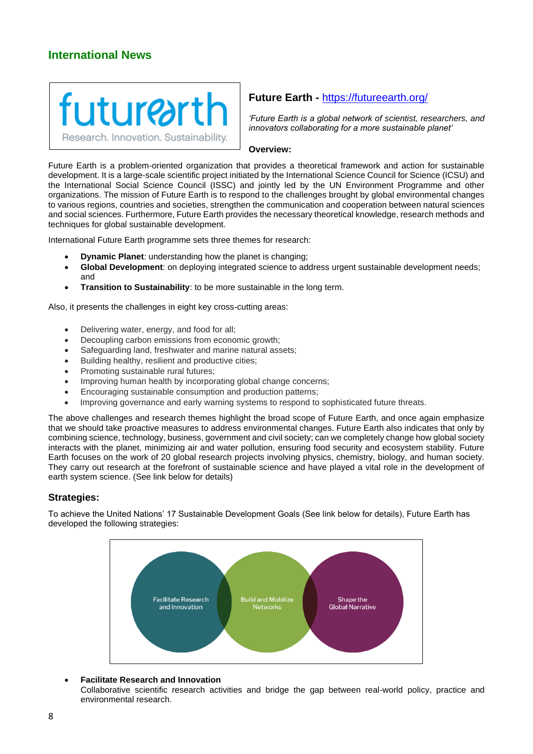## **International News**



## **Future Earth -** https://futureearth.org/

*'Future Earth is a global network of scientist, researchers, and innovators collaborating for a more sustainable planet'*

#### **Overview:**

Future Earth is a problem-oriented organization that provides a theoretical framework and action for sustainable development. It is a large-scale scientific project initiated by the International Science Council for Science (ICSU) and the International Social Science Council (ISSC) and jointly led by the UN Environment Programme and other organizations. The mission of Future Earth is to respond to the challenges brought by global environmental changes to various regions, countries and societies, strengthen the communication and cooperation between natural sciences and social sciences. Furthermore, Future Earth provides the necessary theoretical knowledge, research methods and techniques for global sustainable development.

International Future Earth programme sets three themes for research:

- **Dynamic Planet**: understanding how the planet is changing;
- **Global Development**: on deploying integrated science to address urgent sustainable development needs; and
- **Transition to Sustainability**: to be more sustainable in the long term.

Also, it presents the challenges in eight key cross-cutting areas:

- Delivering water, energy, and food for all;
- Decoupling carbon emissions from economic growth;
- Safeguarding land, freshwater and marine natural assets;
- Building healthy, resilient and productive cities;
- Promoting sustainable rural futures;
- Improving human health by incorporating global change concerns;
- Encouraging sustainable consumption and production patterns;
- Improving governance and early warning systems to respond to sophisticated future threats.

The above challenges and research themes highlight the broad scope of Future Earth, and once again emphasize that we should take proactive measures to address environmental changes. Future Earth also indicates that only by combining science, technology, business, government and civil society; can we completely change how global society interacts with the planet, minimizing air and water pollution, ensuring food security and ecosystem stability. Future Earth focuses on the work of 20 global research projects involving physics, chemistry, biology, and human society. They carry out research at the forefront of sustainable science and have played a vital role in the development of earth system science. (See link below for details)

## **Strategies:**

To achieve the United Nations' 17 Sustainable Development Goals (See link below for details), Future Earth has developed the following strategies:



#### • **Facilitate Research and Innovation**

Collaborative scientific research activities and bridge the gap between real-world policy, practice and environmental research.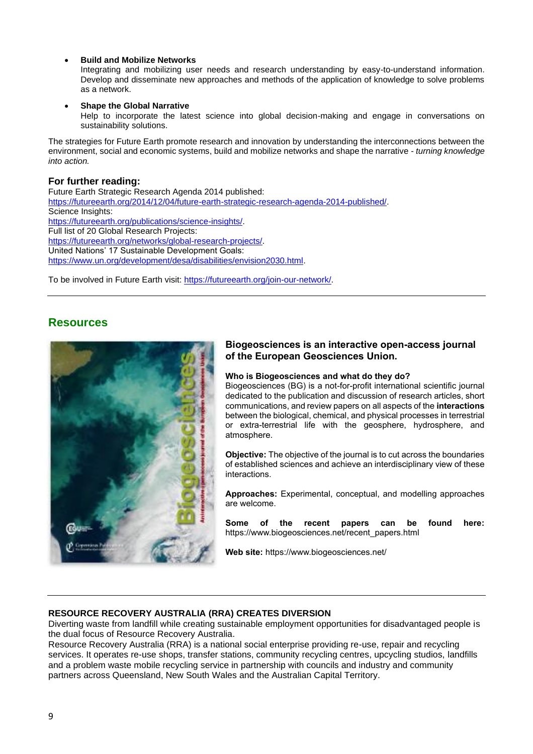### • **Build and Mobilize Networks**

Integrating and mobilizing user needs and research understanding by easy-to-understand information. Develop and disseminate new approaches and methods of the application of knowledge to solve problems as a network.

### **Shape the Global Narrative**

Help to incorporate the latest science into global decision-making and engage in conversations on sustainability solutions.

The strategies for Future Earth promote research and innovation by understanding the interconnections between the environment, social and economic systems, build and mobilize networks and shape the narrative - *turning knowledge into action.*

## **For further reading:**

Future Earth Strategic Research Agenda 2014 published: https://futureearth.org/2014/12/04/future-earth-strategic-research-agenda-2014-published/. Science Insights: https://futureearth.org/publications/science-insights/. Full list of 20 Global Research Projects: https://futureearth.org/networks/global-research-projects/. United Nations' 17 Sustainable Development Goals: https://www.un.org/development/desa/disabilities/envision2030.html.

To be involved in Future Earth visit: https://futureearth.org/join-our-network/.

## **Resources**



## **Biogeosciences is an interactive open-access journal of the European Geosciences Union.**

#### **Who is Biogeosciences and what do they do?**

Biogeosciences (BG) is a not-for-profit international scientific journal dedicated to the publication and discussion of research articles, short communications, and review papers on all aspects of the **interactions** between the biological, chemical, and physical processes in terrestrial or extra-terrestrial life with the geosphere, hydrosphere, and atmosphere.

**Objective:** The objective of the journal is to cut across the boundaries of established sciences and achieve an interdisciplinary view of these interactions.

**Approaches:** Experimental, conceptual, and modelling approaches are welcome.

**Some of the recent papers can be found here:** https://www.biogeosciences.net/recent\_papers.html

**Web site:** https://www.biogeosciences.net/

## **RESOURCE RECOVERY AUSTRALIA (RRA) CREATES DIVERSION**

Diverting waste from landfill while creating sustainable employment opportunities for disadvantaged people is the dual focus of Resource Recovery Australia.

Resource Recovery Australia (RRA) is a national social enterprise providing re-use, repair and recycling services. It operates re-use shops, transfer stations, community recycling centres, upcycling studios, landfills and a problem waste mobile recycling service in partnership with councils and industry and community partners across Queensland, New South Wales and the Australian Capital Territory.